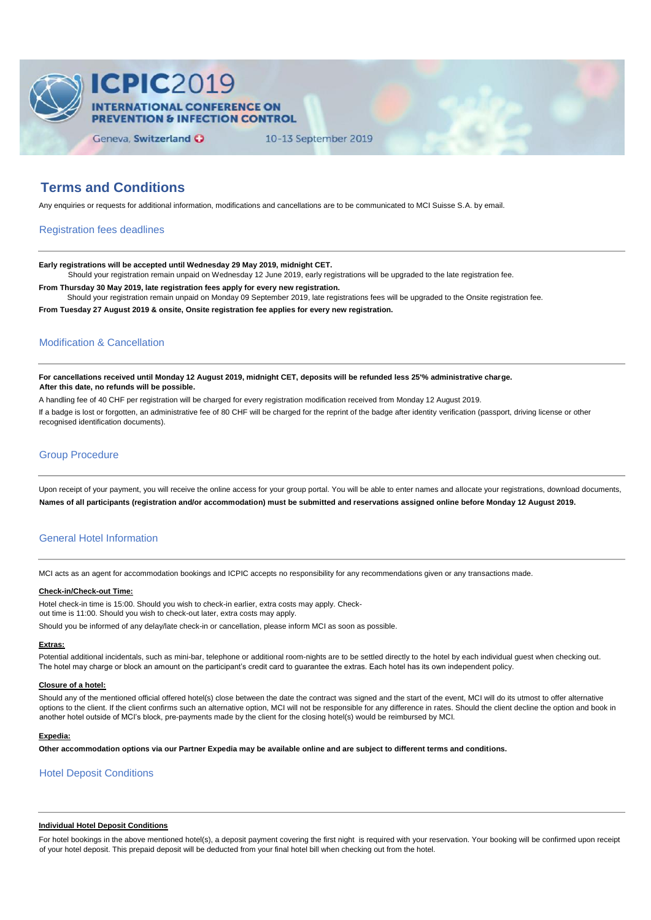

# **Terms and Conditions**

Any enquiries or requests for additional information, modifications and cancellations are to be communicated to MCI Suisse S.A. by email.

## Registration fees deadlines

**Early registrations will be accepted until Wednesday 29 May 2019, midnight CET.**

Should your registration remain unpaid on Wednesday 12 June 2019, early registrations will be upgraded to the late registration fee.

**From Thursday 30 May 2019, late registration fees apply for every new registration.** Should your registration remain unpaid on Monday 09 September 2019, late registrations fees will be upgraded to the Onsite registration fee.

**From Tuesday 27 August 2019 & onsite, Onsite registration fee applies for every new registration.**

## Modification & Cancellation

**For cancellations received until Monday 12 August 2019, midnight CET, deposits will be refunded less 25'% administrative charge. After this date, no refunds will be possible.**

A handling fee of 40 CHF per registration will be charged for every registration modification received from Monday 12 August 2019. If a badge is lost or forgotten, an administrative fee of 80 CHF will be charged for the reprint of the badge after identity verification (passport, driving license or other recognised identification documents).

## Group Procedure

Upon receipt of your payment, you will receive the online access for your group portal. You will be able to enter names and allocate your registrations, download documents, **Names of all participants (registration and/or accommodation) must be submitted and reservations assigned online before Monday 12 August 2019.**

# General Hotel Information

MCI acts as an agent for accommodation bookings and ICPIC accepts no responsibility for any recommendations given or any transactions made.

## **Check-in/Check-out Time:**

Hotel check-in time is 15:00. Should you wish to check-in earlier, extra costs may apply. Check-

out time is 11:00. Should you wish to check-out later, extra costs may apply.

Should you be informed of any delay/late check-in or cancellation, please inform MCI as soon as possible.

## **Extras:**

Potential additional incidentals, such as mini-bar, telephone or additional room-nights are to be settled directly to the hotel by each individual guest when checking out. The hotel may charge or block an amount on the participant's credit card to guarantee the extras. Each hotel has its own independent policy.

## **Closure of a hotel:**

Should any of the mentioned official offered hotel(s) close between the date the contract was signed and the start of the event, MCI will do its utmost to offer alternative options to the client. If the client confirms such an alternative option, MCI will not be responsible for any difference in rates. Should the client decline the option and book in another hotel outside of MCI's block, pre-payments made by the client for the closing hotel(s) would be reimbursed by MCI.

#### **Expedia:**

**Other accommodation options via our Partner Expedia may be available online and are subject to different terms and conditions.** 

## Hotel Deposit Conditions

#### **Individual Hotel Deposit Conditions**

For hotel bookings in the above mentioned hotel(s), a deposit payment covering the first night is required with your reservation. Your booking will be confirmed upon receipt of your hotel deposit. This prepaid deposit will be deducted from your final hotel bill when checking out from the hotel.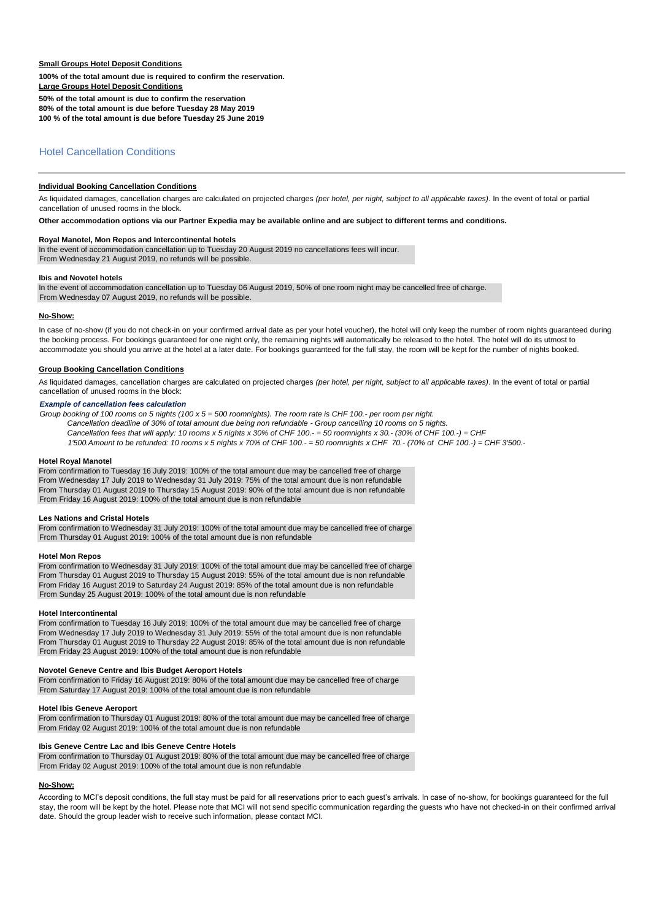## **Small Groups Hotel Deposit Conditions**

**100% of the total amount due is required to confirm the reservation.**

**Large Groups Hotel Deposit Conditions**

**50% of the total amount is due to confirm the reservation**

**80% of the total amount is due before Tuesday 28 May 2019**

**100 % of the total amount is due before Tuesday 25 June 2019**

# Hotel Cancellation Conditions

### **Individual Booking Cancellation Conditions**

As liquidated damages, cancellation charges are calculated on projected charges *(per hotel, per night, subject to all applicable taxes)*. In the event of total or partial cancellation of unused rooms in the block.

**Other accommodation options via our Partner Expedia may be available online and are subject to different terms and conditions.**

#### **Royal Manotel, Mon Repos and Intercontinental hotels**

In the event of accommodation cancellation up to Tuesday 20 August 2019 no cancellations fees will incur. From Wednesday 21 August 2019, no refunds will be possible.

#### **Ibis and Novotel hotels**

In the event of accommodation cancellation up to Tuesday 06 August 2019, 50% of one room night may be cancelled free of charge. From Wednesday 07 August 2019, no refunds will be possible.

#### **No-Show:**

In case of no-show (if you do not check-in on your confirmed arrival date as per your hotel voucher), the hotel will only keep the number of room nights guaranteed during the booking process. For bookings guaranteed for one night only, the remaining nights will automatically be released to the hotel. The hotel will do its utmost to accommodate you should you arrive at the hotel at a later date. For bookings guaranteed for the full stay, the room will be kept for the number of nights booked.

#### **Group Booking Cancellation Conditions**

As liquidated damages, cancellation charges are calculated on projected charges *(per hotel, per night, subject to all applicable taxes)*. In the event of total or partial cancellation of unused rooms in the block:

## *Example of cancellation fees calculation*

*Group booking of 100 rooms on 5 nights (100 x 5 = 500 roomnights). The room rate is CHF 100.- per room per night. Cancellation deadline of 30% of total amount due being non refundable - Group cancelling 10 rooms on 5 nights. Cancellation fees that will apply: 10 rooms x 5 nights x 30% of CHF 100.- = 50 roomnights x 30.- (30% of CHF 100.-) = CHF 1'500.Amount to be refunded: 10 rooms x 5 nights x 70% of CHF 100.- = 50 roomnights x CHF 70.- (70% of CHF 100.-) = CHF 3'500.-*

#### **Hotel Royal Manotel**

From confirmation to Tuesday 16 July 2019: 100% of the total amount due may be cancelled free of charge From Wednesday 17 July 2019 to Wednesday 31 July 2019: 75% of the total amount due is non refundable From Thursday 01 August 2019 to Thursday 15 August 2019: 90% of the total amount due is non refundable From Friday 16 August 2019: 100% of the total amount due is non refundable

#### **Les Nations and Cristal Hotels**

From confirmation to Wednesday 31 July 2019: 100% of the total amount due may be cancelled free of charge From Thursday 01 August 2019: 100% of the total amount due is non refundable

#### **Hotel Mon Repos**

From confirmation to Wednesday 31 July 2019: 100% of the total amount due may be cancelled free of charge From Thursday 01 August 2019 to Thursday 15 August 2019: 55% of the total amount due is non refundable From Friday 16 August 2019 to Saturday 24 August 2019: 85% of the total amount due is non refundable From Sunday 25 August 2019: 100% of the total amount due is non refundable

## **Hotel Intercontinental**

From confirmation to Tuesday 16 July 2019: 100% of the total amount due may be cancelled free of charge From Wednesday 17 July 2019 to Wednesday 31 July 2019: 55% of the total amount due is non refundable From Thursday 01 August 2019 to Thursday 22 August 2019: 85% of the total amount due is non refundable From Friday 23 August 2019: 100% of the total amount due is non refundable

#### **Novotel Geneve Centre and Ibis Budget Aeroport Hotels**

From confirmation to Friday 16 August 2019: 80% of the total amount due may be cancelled free of charge From Saturday 17 August 2019: 100% of the total amount due is non refundable

## **Hotel Ibis Geneve Aeroport**

From confirmation to Thursday 01 August 2019: 80% of the total amount due may be cancelled free of charge From Friday 02 August 2019: 100% of the total amount due is non refundable

#### **Ibis Geneve Centre Lac and Ibis Geneve Centre Hotels**

From confirmation to Thursday 01 August 2019: 80% of the total amount due may be cancelled free of charge From Friday 02 August 2019: 100% of the total amount due is non refundable

#### **No-Show:**

According to MCI's deposit conditions, the full stay must be paid for all reservations prior to each guest's arrivals. In case of no-show, for bookings guaranteed for the full stay, the room will be kept by the hotel. Please note that MCI will not send specific communication regarding the guests who have not checked-in on their confirmed arrival date. Should the group leader wish to receive such information, please contact MCI.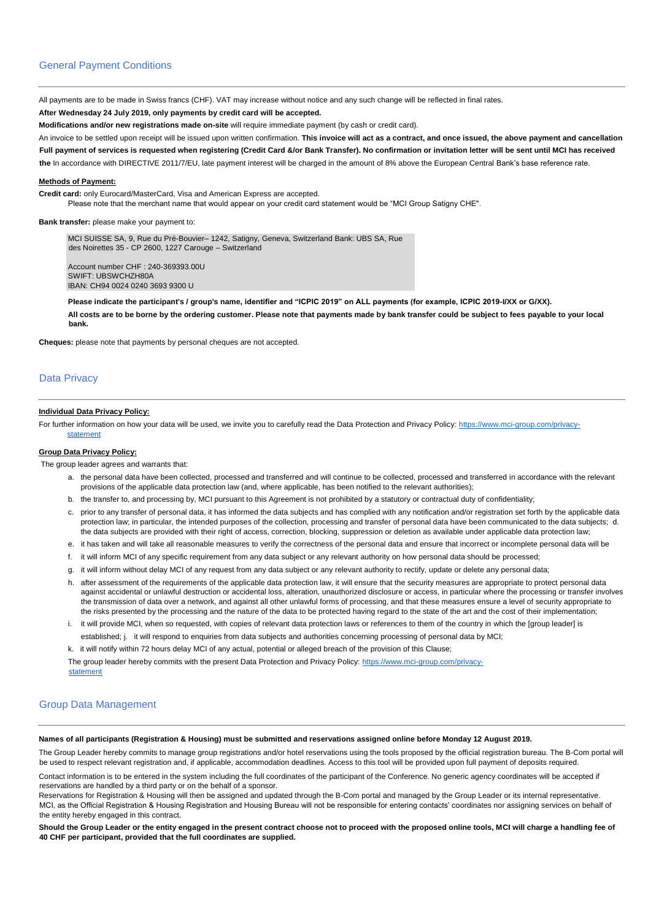## General Payment Conditions

All payments are to be made in Swiss francs (CHF). VAT may increase without notice and any such change will be reflected in final rates.

# **After Wednesday 24 July 2019, only payments by credit card will be accepted.**

**Modifications and/or new registrations made on-site** will require immediate payment (by cash or credit card).

An invoice to be settled upon receipt will be issued upon written confirmation. **This invoice will act as a contract, and once issued, the above payment and cancellation Full payment of services is requested when registering (Credit Card &/or Bank Transfer). No confirmation or invitation letter will be sent until MCI has received** 

**the** In accordance with DIRECTIVE 2011/7/EU, late payment interest will be charged in the amount of 8% above the European Central Bank's base reference rate.

## **Methods of Payment:**

**Credit card:** only Eurocard/MasterCard, Visa and American Express are accepted.

Please note that the merchant name that would appear on your credit card statement would be "MCI Group Satigny CHE".

#### **Bank transfer:** please make your payment to:

MCI SUISSE SA, 9, Rue du Pré-Bouvier– 1242, Satigny, Geneva, Switzerland Bank: UBS SA, Rue des Noirettes 35 - CP 2600, 1227 Carouge – Switzerland

Account number CHF : 240-369393.00U SWIFT: UBSWCHZH80A IBAN: CH94 0024 0240 3693 9300 U

**Please indicate the participant's / group's name, identifier and "ICPIC 2019" on ALL payments (for example, ICPIC 2019-I/XX or G/XX). All costs are to be borne by the ordering customer. Please note that payments made by bank transfer could be subject to fees payable to your local bank.**

**Cheques:** please note that payments by personal cheques are not accepted.

# Data Privacy

#### **Individual Data Privacy Policy:**

For further information on how your data will be used, we invite you to carefully read the Data Protection and Privacy Policy: [https://www.mci-group.com/privacy](https://www.mci-group.com/privacy-statement)[statement](https://www.mci-group.com/privacy-statement) 

## **Group Data Privacy Policy:**

The group leader agrees and warrants that:

- a. the personal data have been collected, processed and transferred and will continue to be collected, processed and transferred in accordance with the relevant provisions of the applicable data protection law (and, where applicable, has been notified to the relevant authorities);
- b. the transfer to, and processing by, MCI pursuant to this Agreement is not prohibited by a statutory or contractual duty of confidentiality;
- c. prior to any transfer of personal data, it has informed the data subjects and has complied with any notification and/or registration set forth by the applicable data protection law; in particular, the intended purposes of the collection, processing and transfer of personal data have been communicated to the data subjects; d. the data subjects are provided with their right of access, correction, blocking, suppression or deletion as available under applicable data protection law;
- e. it has taken and will take all reasonable measures to verify the correctness of the personal data and ensure that incorrect or incomplete personal data will be
- f. it will inform MCI of any specific requirement from any data subject or any relevant authority on how personal data should be processed;
- g. it will inform without delay MCI of any request from any data subject or any relevant authority to rectify, update or delete any personal data;
- h. after assessment of the requirements of the applicable data protection law, it will ensure that the security measures are appropriate to protect personal data against accidental or unlawful destruction or accidental loss, alteration, unauthorized disclosure or access, in particular where the processing or transfer involves the transmission of data over a network, and against all other unlawful forms of processing, and that these measures ensure a level of security appropriate to the risks presented by the processing and the nature of the data to be protected having regard to the state of the art and the cost of their implementation;
- i. it will provide MCI, when so requested, with copies of relevant data protection laws or references to them of the country in which the [group leader] is established; j. it will respond to enquiries from data subjects and authorities concerning processing of personal data by MCI;

k. it will notify within 72 hours delay MCI of any actual, potential or alleged breach of the provision of this Clause;

The group leader hereby commits with the present Data Protection and Privacy Policy[: https://www.mci-group.com/privacy](https://www.mci-group.com/privacy-statement)[statement](https://www.mci-group.com/privacy-statement)

## Group Data Management

### **Names of all participants (Registration & Housing) must be submitted and reservations assigned online before Monday 12 August 2019.**

The Group Leader hereby commits to manage group registrations and/or hotel reservations using the tools proposed by the official registration bureau. The B-Com portal will be used to respect relevant registration and, if applicable, accommodation deadlines. Access to this tool will be provided upon full payment of deposits required.

Contact information is to be entered in the system including the full coordinates of the participant of the Conference. No generic agency coordinates will be accepted if reservations are handled by a third party or on the behalf of a sponsor.

Reservations for Registration & Housing will then be assigned and updated through the B-Com portal and managed by the Group Leader or its internal representative. MCI, as the Official Registration & Housing Registration and Housing Bureau will not be responsible for entering contacts' coordinates nor assigning services on behalf of the entity hereby engaged in this contract.

**Should the Group Leader or the entity engaged in the present contract choose not to proceed with the proposed online tools, MCI will charge a handling fee of 40 CHF per participant, provided that the full coordinates are supplied.**